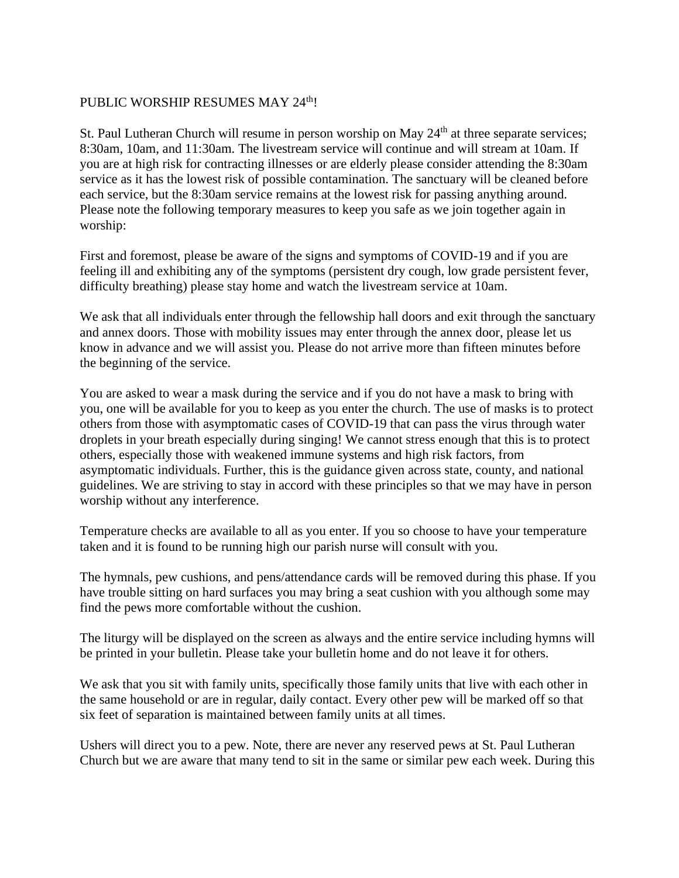## PUBLIC WORSHIP RESUMES MAY 24<sup>th</sup>!

St. Paul Lutheran Church will resume in person worship on May  $24<sup>th</sup>$  at three separate services; 8:30am, 10am, and 11:30am. The livestream service will continue and will stream at 10am. If you are at high risk for contracting illnesses or are elderly please consider attending the 8:30am service as it has the lowest risk of possible contamination. The sanctuary will be cleaned before each service, but the 8:30am service remains at the lowest risk for passing anything around. Please note the following temporary measures to keep you safe as we join together again in worship:

First and foremost, please be aware of the signs and symptoms of COVID-19 and if you are feeling ill and exhibiting any of the symptoms (persistent dry cough, low grade persistent fever, difficulty breathing) please stay home and watch the livestream service at 10am.

We ask that all individuals enter through the fellowship hall doors and exit through the sanctuary and annex doors. Those with mobility issues may enter through the annex door, please let us know in advance and we will assist you. Please do not arrive more than fifteen minutes before the beginning of the service.

You are asked to wear a mask during the service and if you do not have a mask to bring with you, one will be available for you to keep as you enter the church. The use of masks is to protect others from those with asymptomatic cases of COVID-19 that can pass the virus through water droplets in your breath especially during singing! We cannot stress enough that this is to protect others, especially those with weakened immune systems and high risk factors, from asymptomatic individuals. Further, this is the guidance given across state, county, and national guidelines. We are striving to stay in accord with these principles so that we may have in person worship without any interference.

Temperature checks are available to all as you enter. If you so choose to have your temperature taken and it is found to be running high our parish nurse will consult with you.

The hymnals, pew cushions, and pens/attendance cards will be removed during this phase. If you have trouble sitting on hard surfaces you may bring a seat cushion with you although some may find the pews more comfortable without the cushion.

The liturgy will be displayed on the screen as always and the entire service including hymns will be printed in your bulletin. Please take your bulletin home and do not leave it for others.

We ask that you sit with family units, specifically those family units that live with each other in the same household or are in regular, daily contact. Every other pew will be marked off so that six feet of separation is maintained between family units at all times.

Ushers will direct you to a pew. Note, there are never any reserved pews at St. Paul Lutheran Church but we are aware that many tend to sit in the same or similar pew each week. During this